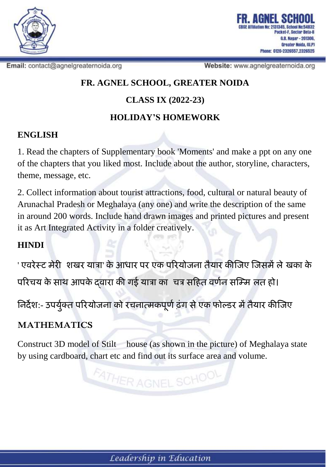

Email: contact@agnelgreaternoida.org

Website: www.agnelgreaternoida.org

### **FR. AGNEL SCHOOL, GREATER NOIDA**

# **CLASS IX (2022-23)**

# **HOLIDAY'S HOMEWORK**

#### **ENGLISH**

1. Read the chapters of Supplementary book 'Moments' and make a ppt on any one of the chapters that you liked most. Include about the author, storyline, characters, theme, message, etc.

2. Collect information about tourist attractions, food, cultural or natural beauty of Arunachal Pradesh or Meghalaya (any one) and write the description of the same in around 200 words. Include hand drawn images and printed pictures and present it as Art Integrated Activity in a folder creatively.

### **HINDI**

' **एवरेस्ट मेरी शिखर यात्रा**' **केआधार पर एक पररयोजना तैयार कीजजए जजसमेंलेखखका के पररचय के साथ आपके द्वारा की गई यात्रा का चचत्र सहित वर्णन सजममशलत िो।**

**ननर्देि**:- **उपय य क्ण त पररयोजना को रचनात्मकप ू र्णढ़ंग सेएक फोल्डर मेंतैयार कीजजए**

### **MATHEMATICS**

Construct 3D model of Stilt house (as shown in the picture) of Meghalaya state by using cardboard, chart etc and find out its surface area and volume.

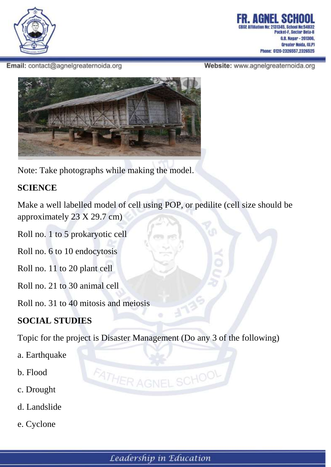

G.B. Nagar - 201306, Greater Noida, (U,P) 0120-2326557.2326525

Email: contact@agnelgreaternoida.org

Website: www.agnelgreaternoida.org



Note: Take photographs while making the model.

#### **SCIENCE**

Make a well labelled model of cell using POP, or pedilite (cell size should be approximately 23 X 29.7 cm)

Roll no. 1 to 5 prokaryotic cell

Roll no. 6 to 10 endocytosis

Roll no. 11 to 20 plant cell

Roll no. 21 to 30 animal cell

Roll no. 31 to 40 mitosis and meiosis

### **SOCIAL STUDIES**

Topic for the project is Disaster Management (Do any 3 of the following)

- a. Earthquake
- b. Flood
- c. Drought
- d. Landslide
- e. Cyclone

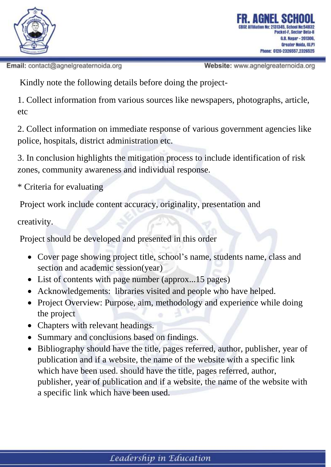

Email: contact@agnelgreaternoida.org

Website: www.agnelgreaternoida.org

Kindly note the following details before doing the project-

1. Collect information from various sources like newspapers, photographs, article, etc

2. Collect information on immediate response of various government agencies like police, hospitals, district administration etc.

3. In conclusion highlights the mitigation process to include identification of risk zones, community awareness and individual response.

\* Criteria for evaluating

Project work include content accuracy, originality, presentation and

creativity.

Project should be developed and presented in this order

- Cover page showing project title, school's name, students name, class and section and academic session(year)
- List of contents with page number (approx...15 pages)
- Acknowledgements: libraries visited and people who have helped.
- Project Overview: Purpose, aim, methodology and experience while doing the project
- Chapters with relevant headings.
- Summary and conclusions based on findings.
- Bibliography should have the title, pages referred, author, publisher, year of publication and if a website, the name of the website with a specific link which have been used. should have the title, pages referred, author, publisher, year of publication and if a website, the name of the website with a specific link which have been used.